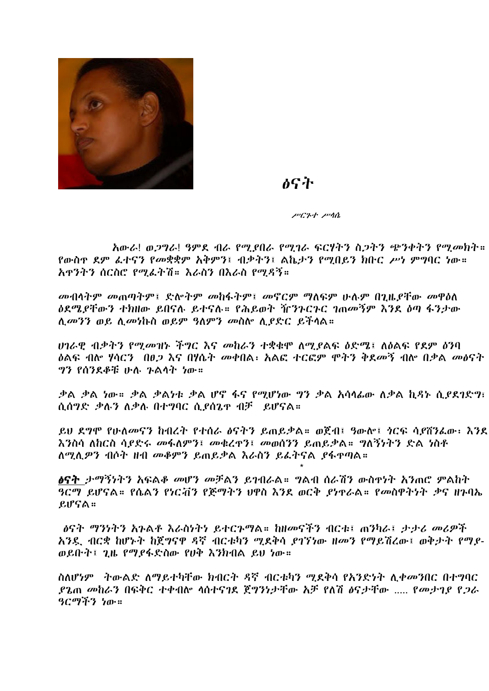

## ልናት

ሥርጉተ ሥሳሴ

አውራ! ወጋግራ! ዓምደ ብራ የሚያበራ የሚገራ ፍርሃትን ስጋትን ጭንቀትን የሚመክት። የውስዋ ደም ፈተናን የመቋቋም አቅምን፤ ብቃትን፤ ልኬታን የማበይን ክቡር ሥነ ምግባር ነው። አዋንትን ሰርስሮ የማፌትሽ። እራስን በእራስ የማዳኝ።

መብላትም መጠጣትም፤ ድሎትም መከፋትም፤ መኖርም ማለፍም ሁሉም በጊዜያቸው መዋዕለ ዕደሜያቸውን ተክዘው ይበናሉ ይተናሉ። የሕይወት ዥንጉርጉር ገጠመኝም እንደ ዕጣ ፋንታው ሊመንን ወይ ሊመነኩስ ወይም ዓለምን መስሎ ሲያድር ይችላል።

ሀገራዊ ብቃትን የሚመዝኑ ችግር እና መከራን ተቋቁሞ ለሚያልፍ ዕድሜ፤ ለዕልፍ የደም ዕንባ *ኒ*ልፍ ብሎ ሃሳርን በፀ*ጋ* እና በሃሴት መቀበል፡ አልፎ ተርፎም ሞትን ቅደመኝ ብሎ በቃል መፅናት ግን የሰንደቆቹ ሁሉ ጉልሳት ነው።

ቃል ቃል ነው። ቃል ቃልነቱ ቃል ሆኖ ፋና የሚሆነው ግን ቃል አሳሳፊው ለቃል ኪዳኑ ሲያደገድግ፣ ሲሰግድ ቃሉን ለቃሉ በተግባር ሲያሰጌዋ ብቻ ይሆናል።

ይህ ደግሞ የሁለመናን ከብረት የተሰራ ልናትን ይጠይቃል። ወጀብ፤ ዓውሎ፤ ነርፍ ሳያሸንፌው፡ እንደ እንስሳ ለከርስ ሳያድሩ መፋለምን፤ መቁረዋን፤ መወሰንን ይጠይቃል። ግለኝነትን ድል ነስቶ ለሚሊዎን ብሶት ዘብ መቆምን ይጠይቃል እራስን ይፈትናል ያፋዋጣል።

*ፅ*ናት *ታማኝነትን አ*ፍል*ቆ መሆን መቻ*ልን ይገብራል። ግልብ ሰራሽን ውስዋነት አንጠሮ ምልከት ዓርማ ይሆናል። የሴልን የነርቭን የጅማትን ህዋስ እንደ ወርቅ ያነዋራል። የመስዋትነት ቃና ዘጉባኤ  $fJfG$   $\alpha$  ::

. ልናት ማንነትን እንልቶ እራስነትነ ይተርጉማል። ከዘመናችን ብርቱ፤ ጠንካራ፤ ታታሪ መሪዎች አንዴ ብርቋ ከሆኑት ከጀግናዋ ዳኛ ብርቱካን ሚደቅሳ ያገኘነው ዘመን የማይሽረው፤ ወቅታት የማያ-ወይቡት፤ ጊዜ የማያፋድስው የሀቅ እንክብል ይህ ነው።

ስለሆነም ትውልድ ለማይተካቸው ክብርት ዳኛ ብርቱካን ሚደቅሳ የአንድነት ሊቀመንበር በተግባር ያጌጠ መከራን በፍቅር ተቀብሎ ሳስተናገደ ጀግንነታቸው አቻ የለሽ ፅናታቸው ..... የመታገደ የጋራ ዓርማችን ነው።